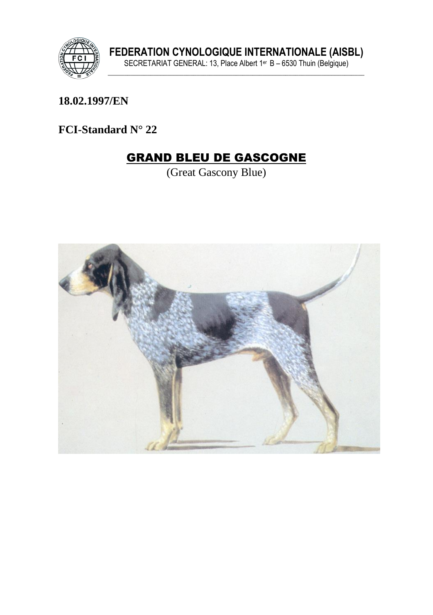

**18.02.1997/EN**

**FCI-Standard N° 22**

# GRAND BLEU DE GASCOGNE

(Great Gascony Blue)

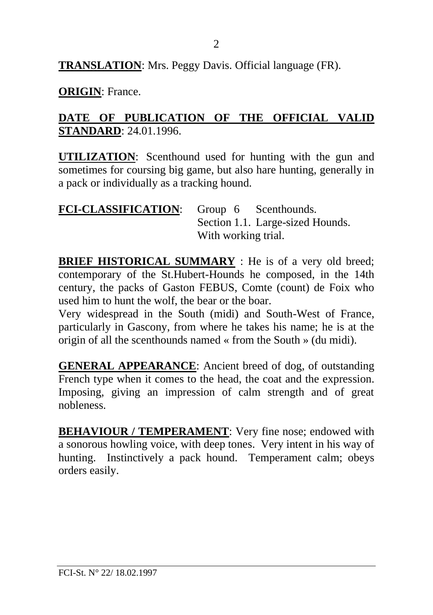**TRANSLATION**: Mrs. Peggy Davis. Official language (FR).

**ORIGIN**: France.

#### **DATE OF PUBLICATION OF THE OFFICIAL VALID STANDARD**: 24.01.1996.

**UTILIZATION**: Scenthound used for hunting with the gun and sometimes for coursing big game, but also hare hunting, generally in a pack or individually as a tracking hound.

| FCI-CLASSIFICATION: Group 6 Scenthounds. |                     |                                  |
|------------------------------------------|---------------------|----------------------------------|
|                                          |                     | Section 1.1. Large-sized Hounds. |
|                                          | With working trial. |                                  |

**BRIEF HISTORICAL SUMMARY** : He is of a very old breed; contemporary of the St.Hubert-Hounds he composed, in the 14th century, the packs of Gaston FEBUS, Comte (count) de Foix who used him to hunt the wolf, the bear or the boar.

Very widespread in the South (midi) and South-West of France, particularly in Gascony, from where he takes his name; he is at the origin of all the scenthounds named « from the South » (du midi).

**GENERAL APPEARANCE**: Ancient breed of dog, of outstanding French type when it comes to the head, the coat and the expression. Imposing, giving an impression of calm strength and of great nobleness.

**BEHAVIOUR / TEMPERAMENT:** Very fine nose; endowed with a sonorous howling voice, with deep tones. Very intent in his way of hunting. Instinctively a pack hound. Temperament calm; obeys orders easily.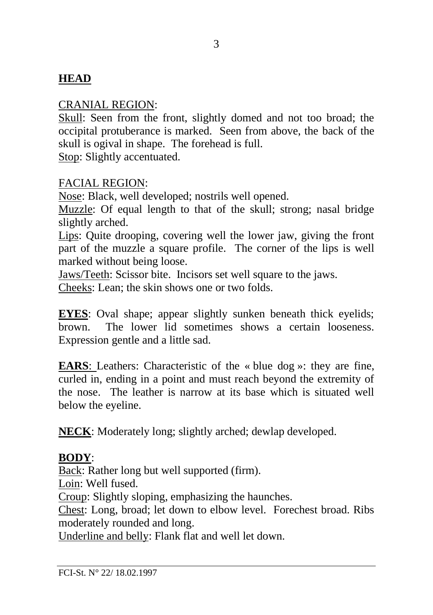### **HEAD**

#### CRANIAL REGION:

Skull: Seen from the front, slightly domed and not too broad; the occipital protuberance is marked. Seen from above, the back of the skull is ogival in shape. The forehead is full. Stop: Slightly accentuated.

#### FACIAL REGION:

Nose: Black, well developed; nostrils well opened.

Muzzle: Of equal length to that of the skull; strong; nasal bridge slightly arched.

Lips: Quite drooping, covering well the lower jaw, giving the front part of the muzzle a square profile. The corner of the lips is well marked without being loose.

Jaws/Teeth: Scissor bite. Incisors set well square to the jaws.

Cheeks: Lean; the skin shows one or two folds.

**EYES**: Oval shape; appear slightly sunken beneath thick eyelids; brown. The lower lid sometimes shows a certain looseness. Expression gentle and a little sad.

**EARS**: Leathers: Characteristic of the « blue dog »: they are fine, curled in, ending in a point and must reach beyond the extremity of the nose. The leather is narrow at its base which is situated well below the eyeline.

**NECK**: Moderately long; slightly arched; dewlap developed.

#### **BODY**:

Back: Rather long but well supported (firm). Loin: Well fused. Croup: Slightly sloping, emphasizing the haunches. Chest: Long, broad; let down to elbow level. Forechest broad. Ribs moderately rounded and long.

Underline and belly: Flank flat and well let down.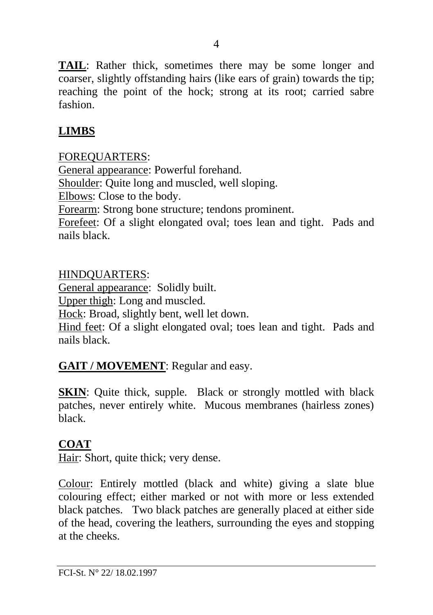**TAIL**: Rather thick, sometimes there may be some longer and coarser, slightly offstanding hairs (like ears of grain) towards the tip; reaching the point of the hock; strong at its root; carried sabre fashion.

### **LIMBS**

#### FOREQUARTERS:

General appearance: Powerful forehand. Shoulder: Quite long and muscled, well sloping. Elbows: Close to the body. Forearm: Strong bone structure; tendons prominent. Forefeet: Of a slight elongated oval; toes lean and tight. Pads and nails black.

HINDQUARTERS: General appearance: Solidly built. Upper thigh: Long and muscled. Hock: Broad, slightly bent, well let down. Hind feet: Of a slight elongated oval; toes lean and tight. Pads and nails black.

### **GAIT / MOVEMENT**: Regular and easy.

**SKIN:** Quite thick, supple. Black or strongly mottled with black patches, never entirely white. Mucous membranes (hairless zones) black.

### **COAT**

Hair: Short, quite thick; very dense.

Colour: Entirely mottled (black and white) giving a slate blue colouring effect; either marked or not with more or less extended black patches. Two black patches are generally placed at either side of the head, covering the leathers, surrounding the eyes and stopping at the cheeks.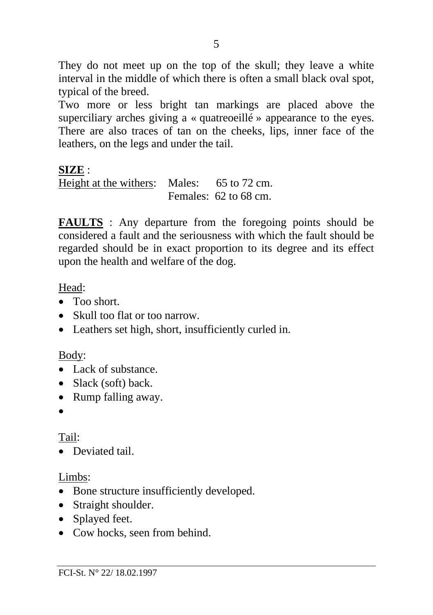They do not meet up on the top of the skull; they leave a white interval in the middle of which there is often a small black oval spot, typical of the breed.

Two more or less bright tan markings are placed above the superciliary arches giving a « quatreoeillé » appearance to the eyes. There are also traces of tan on the cheeks, lips, inner face of the leathers, on the legs and under the tail.

### **SIZE** :

Height at the withers: Males: 65 to 72 cm. Females: 62 to 68 cm.

**FAULTS** : Any departure from the foregoing points should be considered a fault and the seriousness with which the fault should be regarded should be in exact proportion to its degree and its effect upon the health and welfare of the dog.

### Head:

- Too short.
- Skull too flat or too narrow.
- Leathers set high, short, insufficiently curled in.

### Body:

- Lack of substance.
- Slack (soft) back.
- Rump falling away.
- •

# Tail:

• Deviated tail.

### Limbs:

- Bone structure insufficiently developed.
- Straight shoulder.
- Splayed feet.
- Cow hocks, seen from behind.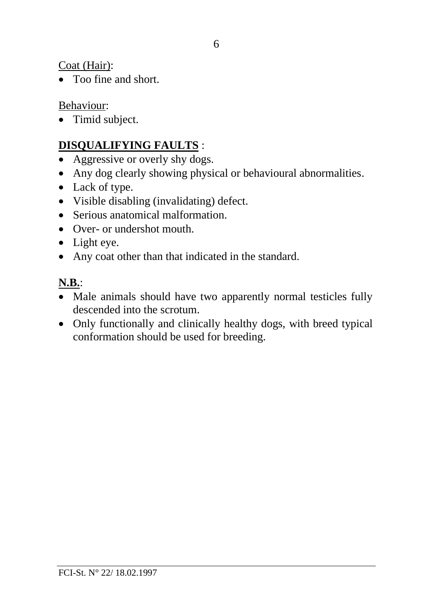Coat (Hair):

• Too fine and short.

Behaviour:

• Timid subject.

# **DISQUALIFYING FAULTS** :

- Aggressive or overly shy dogs.
- Any dog clearly showing physical or behavioural abnormalities.
- Lack of type.
- Visible disabling (invalidating) defect.
- Serious anatomical malformation.
- Over- or undershot mouth.
- Light eye.
- Any coat other than that indicated in the standard.

# **N.B.**:

- Male animals should have two apparently normal testicles fully descended into the scrotum.
- Only functionally and clinically healthy dogs, with breed typical conformation should be used for breeding.